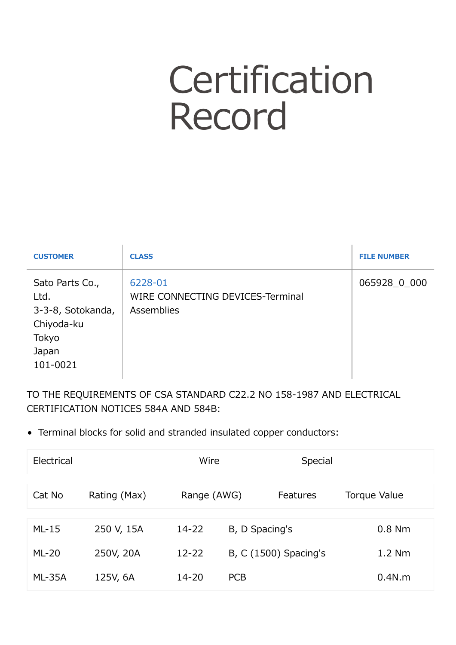## **Certification** Record

| <b>CUSTOMER</b>                                                                          | <b>CLASS</b>                                              | <b>FILE NUMBER</b> |
|------------------------------------------------------------------------------------------|-----------------------------------------------------------|--------------------|
| Sato Parts Co.,<br>Ltd.<br>3-3-8, Sotokanda,<br>Chiyoda-ku<br>Tokyo<br>Japan<br>101-0021 | 6228-01<br>WIRE CONNECTING DEVICES-Terminal<br>Assemblies | 065928 0 000       |

TO THE REQUIREMENTS OF CSA STANDARD C22.2 NO 158-1987 AND ELECTRICAL CERTIFICATION NOTICES 584A AND 584B:

Terminal blocks for solid and stranded insulated copper conductors:

| Electrical    |              | Wire        |                | Special               |              |
|---------------|--------------|-------------|----------------|-----------------------|--------------|
| Cat No        | Rating (Max) | Range (AWG) |                | Features              | Torque Value |
| $ML-15$       | 250 V, 15A   | $14 - 22$   | B, D Spacing's |                       | $0.8$ Nm     |
| $ML-20$       | 250V, 20A    | $12 - 22$   |                | B, C (1500) Spacing's | $1.2$ Nm     |
| <b>ML-35A</b> | 125V, 6A     | $14 - 20$   | <b>PCB</b>     |                       | 0.4N.m       |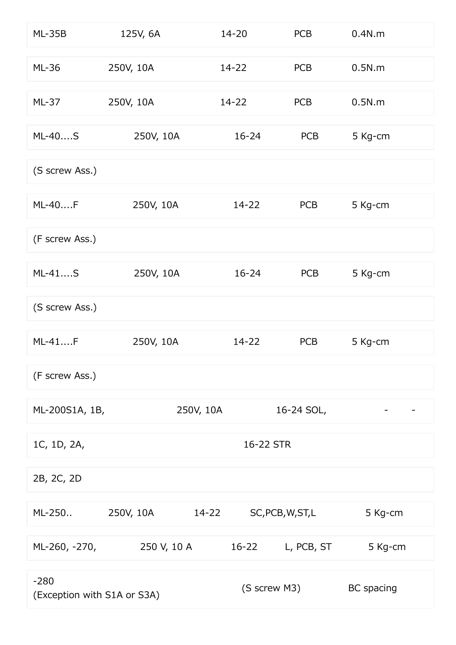| <b>ML-35B</b>                         | 125V, 6A    | $14 - 20$    | <b>PCB</b>        | 0.4N.m     |
|---------------------------------------|-------------|--------------|-------------------|------------|
| <b>ML-36</b>                          | 250V, 10A   | 14-22        | <b>PCB</b>        | 0.5N.m     |
| $ML-37$                               | 250V, 10A   | $14 - 22$    | <b>PCB</b>        | 0.5N.m     |
| ML-40S                                | 250V, 10A   | $16 - 24$    | <b>PCB</b>        | 5 Kg-cm    |
| (S screw Ass.)                        |             |              |                   |            |
| ML-40F                                | 250V, 10A   | 14-22        | <b>PCB</b>        | 5 Kg-cm    |
| (F screw Ass.)                        |             |              |                   |            |
| $ML-41S$                              | 250V, 10A   | $16 - 24$    | <b>PCB</b>        | 5 Kg-cm    |
| (S screw Ass.)                        |             |              |                   |            |
| $ML-41F$                              | 250V, 10A   | $14 - 22$    | <b>PCB</b>        | 5 Kg-cm    |
| (F screw Ass.)                        |             |              |                   |            |
| ML-200S1A, 1B,                        |             | 250V, 10A    | 16-24 SOL,        |            |
| 1C, 1D, 2A,                           |             | 16-22 STR    |                   |            |
| 2B, 2C, 2D                            |             |              |                   |            |
| ML-250                                | 250V, 10A   | $14 - 22$    | SC, PCB, W, ST, L | 5 Kg-cm    |
| ML-260, -270,                         | 250 V, 10 A | $16 - 22$    | L, PCB, ST        | 5 Kg-cm    |
| $-280$<br>(Exception with S1A or S3A) |             | (S screw M3) |                   | BC spacing |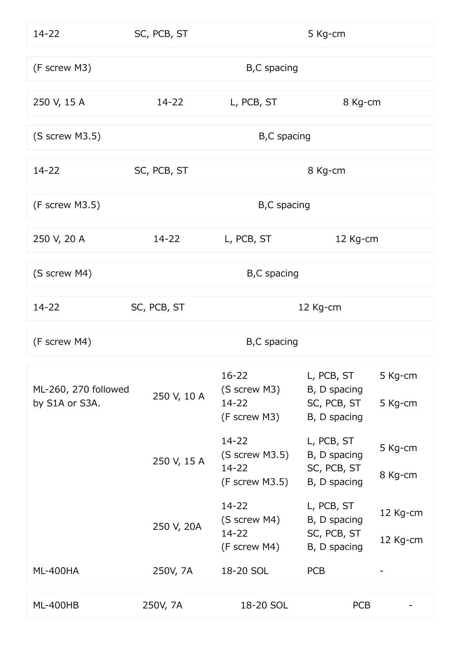| $14 - 22$                              | SC, PCB, ST<br>5 Kg-cm |                                                            |                                                           |                      |
|----------------------------------------|------------------------|------------------------------------------------------------|-----------------------------------------------------------|----------------------|
| (F screw M3)                           |                        | B,C spacing                                                |                                                           |                      |
| 250 V, 15 A                            | $14 - 22$              | L, PCB, ST                                                 | 8 Kg-cm                                                   |                      |
| (S screw M3.5)                         |                        | B,C spacing                                                |                                                           |                      |
| $14 - 22$                              | SC, PCB, ST            |                                                            | 8 Kg-cm                                                   |                      |
| (F screw M3.5)                         |                        | B,C spacing                                                |                                                           |                      |
| 250 V, 20 A                            | $14 - 22$              | L, PCB, ST                                                 | 12 Kg-cm                                                  |                      |
| (S screw M4)                           |                        | B,C spacing                                                |                                                           |                      |
| $14 - 22$                              | SC, PCB, ST            |                                                            | 12 Kg-cm                                                  |                      |
| (F screw M4)                           |                        | B,C spacing                                                |                                                           |                      |
| ML-260, 270 followed<br>by S1A or S3A. | 250 V, 10 A            | $16 - 22$<br>(S screw M3)<br>14-22<br>(F screw M3)         | L, PCB, ST<br>B, D spacing<br>SC, PCB, ST<br>B, D spacing | 5 Kg-cm<br>5 Kg-cm   |
|                                        | 250 V, 15 A            | $14 - 22$<br>(S screw M3.5)<br>$14 - 22$<br>(F screw M3.5) | L, PCB, ST<br>B, D spacing<br>SC, PCB, ST<br>B, D spacing | 5 Kg-cm<br>8 Kg-cm   |
|                                        | 250 V, 20A             | $14 - 22$<br>(S screw M4)<br>$14 - 22$<br>(F screw M4)     | L, PCB, ST<br>B, D spacing<br>SC, PCB, ST<br>B, D spacing | 12 Kg-cm<br>12 Kg-cm |
| <b>ML-400HA</b>                        | 250V, 7A               | 18-20 SOL                                                  | <b>PCB</b>                                                |                      |
| <b>ML-400HB</b>                        | 250V, 7A               | 18-20 SOL                                                  | <b>PCB</b>                                                |                      |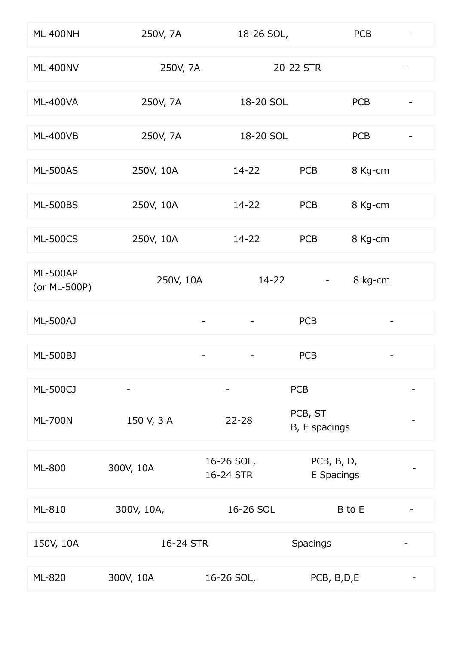| ML-400NH                        | 250V, 7A   | 18-26 SOL,               |                          | <b>PCB</b> |   |
|---------------------------------|------------|--------------------------|--------------------------|------------|---|
| <b>ML-400NV</b>                 | 250V, 7A   |                          | 20-22 STR                |            |   |
| <b>ML-400VA</b>                 | 250V, 7A   | 18-20 SOL                |                          | <b>PCB</b> |   |
| <b>ML-400VB</b>                 | 250V, 7A   | 18-20 SOL                |                          | <b>PCB</b> | - |
| <b>ML-500AS</b>                 | 250V, 10A  | $14 - 22$                | <b>PCB</b>               | 8 Kg-cm    |   |
| <b>ML-500BS</b>                 | 250V, 10A  | 14-22                    | <b>PCB</b>               | 8 Kg-cm    |   |
| <b>ML-500CS</b>                 | 250V, 10A  | $14 - 22$                | <b>PCB</b>               | 8 Kg-cm    |   |
| <b>ML-500AP</b><br>(or ML-500P) | 250V, 10A  | $14 - 22$                |                          | 8 kg-cm    |   |
| <b>ML-500AJ</b>                 |            |                          | <b>PCB</b>               |            |   |
| ML-500BJ                        |            |                          | <b>PCB</b>               |            |   |
| <b>ML-500CJ</b>                 |            | $\overline{\phantom{a}}$ | <b>PCB</b>               |            |   |
| <b>ML-700N</b>                  | 150 V, 3 A | $22 - 28$                | PCB, ST<br>B, E spacings |            |   |
| ML-800                          | 300V, 10A  | 16-26 SOL,<br>16-24 STR  | PCB, B, D,<br>E Spacings |            |   |
| ML-810                          | 300V, 10A, | 16-26 SOL                |                          | B to E     |   |
| 150V, 10A                       | 16-24 STR  |                          | Spacings                 |            |   |
| ML-820                          | 300V, 10A  | 16-26 SOL,               | PCB, B, D, E             |            |   |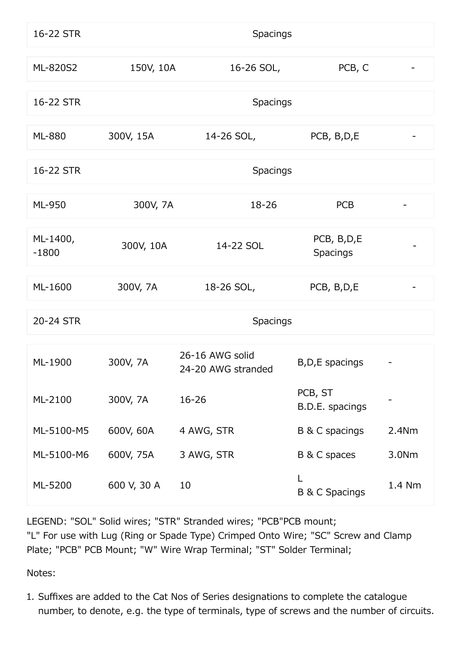| 16-22 STR           |             | Spacings                              |                                |        |
|---------------------|-------------|---------------------------------------|--------------------------------|--------|
| ML-820S2            | 150V, 10A   | 16-26 SOL,                            | PCB, C                         |        |
| 16-22 STR           |             | Spacings                              |                                |        |
| <b>ML-880</b>       | 300V, 15A   | 14-26 SOL,                            | PCB, B, D, E                   |        |
| 16-22 STR           |             | Spacings                              |                                |        |
| ML-950              | 300V, 7A    | 18-26                                 | <b>PCB</b>                     |        |
| ML-1400,<br>$-1800$ | 300V, 10A   | 14-22 SOL                             | PCB, B, D, E<br>Spacings       |        |
| ML-1600             | 300V, 7A    | 18-26 SOL,                            | PCB, B, D, E                   |        |
| 20-24 STR           |             | Spacings                              |                                |        |
| ML-1900             | 300V, 7A    | 26-16 AWG solid<br>24-20 AWG stranded | B, D, E spacings               |        |
| ML-2100             | 300V, 7A    | 16-26                                 | PCB, ST<br>B.D.E. spacings     |        |
| ML-5100-M5          | 600V, 60A   | 4 AWG, STR                            | B & C spacings                 | 2.4Nm  |
| ML-5100-M6          | 600V, 75A   | 3 AWG, STR                            | B & C spaces                   | 3.0Nm  |
| ML-5200             | 600 V, 30 A | 10                                    | L<br><b>B &amp; C Spacings</b> | 1.4 Nm |

LEGEND: "SOL" Solid wires; "STR" Stranded wires; "PCB"PCB mount; "L" For use with Lug (Ring or Spade Type) Crimped Onto Wire; "SC" Screw and Clamp Plate; "PCB" PCB Mount; "W" Wire Wrap Terminal; "ST" Solder Terminal;

Notes:

1. Suffixes are added to the Cat Nos of Series designations to complete the catalogue number, to denote, e.g. the type of terminals, type of screws and the number of circuits.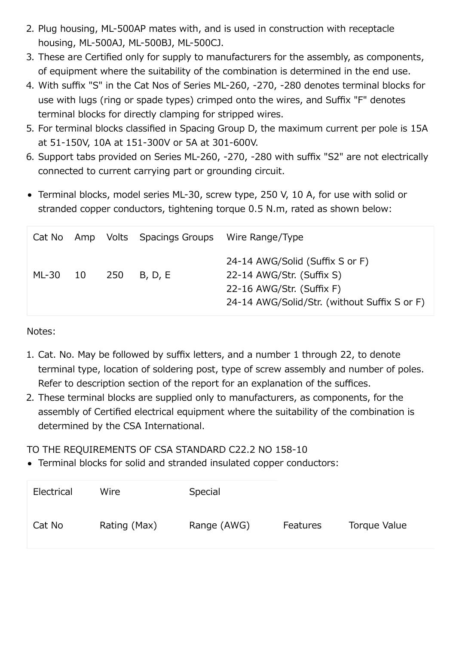- 2. Plug housing, ML-500AP mates with, and is used in construction with receptacle housing, ML-500AJ, ML-500BJ, ML-500CJ.
- 3. These are Certified only for supply to manufacturers for the assembly, as components, of equipment where the suitability of the combination is determined in the end use.
- 4. With suffix "S" in the Cat Nos of Series ML-260, -270, -280 denotes terminal blocks for use with lugs (ring or spade types) crimped onto the wires, and Suffix "F" denotes terminal blocks for directly clamping for stripped wires.
- 5. For terminal blocks classified in Spacing Group D, the maximum current per pole is 15A at 51-150V, 10A at 151-300V or 5A at 301-600V.
- 6. Support tabs provided on Series ML-260, -270, -280 with suffix "S2" are not electrically connected to current carrying part or grounding circuit.
- Terminal blocks, model series ML-30, screw type, 250 V, 10 A, for use with solid or stranded copper conductors, tightening torque 0.5 N.m, rated as shown below:

| Cat No |    |     | Amp Volts Spacings Groups | Wire Range/Type                                                                                                                           |
|--------|----|-----|---------------------------|-------------------------------------------------------------------------------------------------------------------------------------------|
| ML-30  | 10 | 250 | B, D, E                   | 24-14 AWG/Solid (Suffix S or F)<br>22-14 AWG/Str. (Suffix S)<br>22-16 AWG/Str. (Suffix F)<br>24-14 AWG/Solid/Str. (without Suffix S or F) |

Notes:

- 1. Cat. No. May be followed by suffix letters, and a number 1 through 22, to denote terminal type, location of soldering post, type of screw assembly and number of poles. Refer to description section of the report for an explanation of the suffices.
- 2. These terminal blocks are supplied only to manufacturers, as components, for the assembly of Certified electrical equipment where the suitability of the combination is determined by the CSA International.

TO THE REQUIREMENTS OF CSA STANDARD C22.2 NO 158-10

Terminal blocks for solid and stranded insulated copper conductors:

| Electrical | Wire         | Special     |                 |              |
|------------|--------------|-------------|-----------------|--------------|
| Cat No     | Rating (Max) | Range (AWG) | <b>Features</b> | Torque Value |